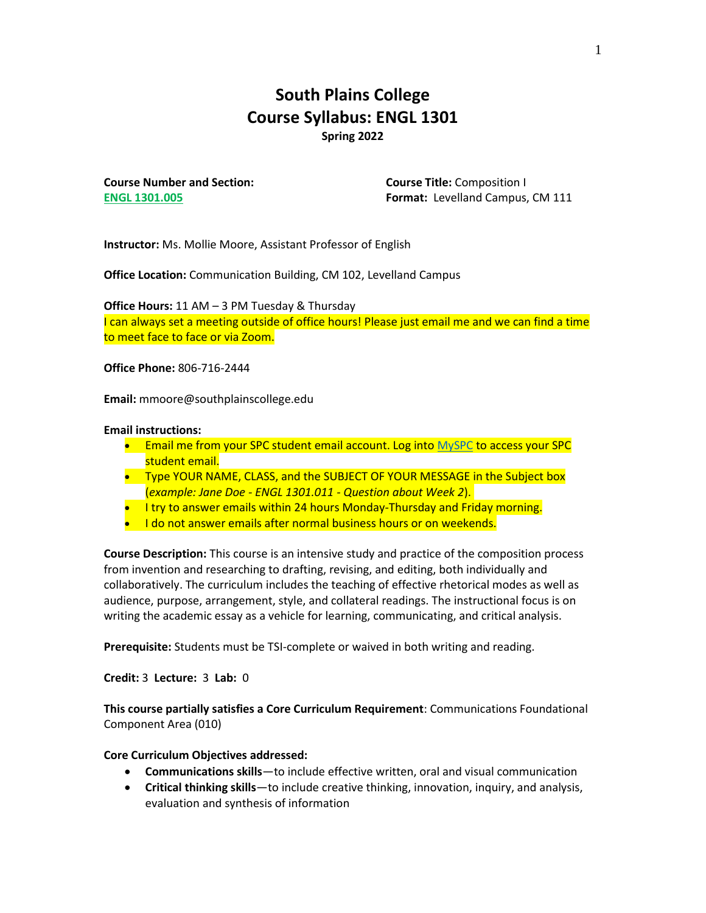# **South Plains College Course Syllabus: ENGL 1301 Spring 2022**

**Course Number and Section: ENGL 1301.005**

**Course Title:** Composition I **Format:** Levelland Campus, CM 111

**Instructor:** Ms. Mollie Moore, Assistant Professor of English

**Office Location:** Communication Building, CM 102, Levelland Campus

**Office Hours:** 11 AM – 3 PM Tuesday & Thursday I can always set a meeting outside of office hours! Please just email me and we can find a time to meet face to face or via Zoom.

**Office Phone:** 806-716-2444

**Email:** mmoore@southplainscollege.edu

#### **Email instructions:**

- Email me from your SPC student email account. Log into [MySPC](https://fs.southplainscollege.edu/adfs/ls?wa=wsignin1.0&wtrealm=urn%3aportal.southplainscollege.edu%3a443&wctx=https%3a%2f%2fportal.southplainscollege.edu%2f_layouts%2f15%2fAuthenticate.aspx%3fSource%3d%252F&wreply=https%3a%2f%2fportal.southplainscollege.edu%2f_trust%2fdefault.aspx) to access your SPC student email.
- Type YOUR NAME, CLASS, and the SUBJECT OF YOUR MESSAGE in the Subject box (*example: Jane Doe - ENGL 1301.011 - Question about Week 2*).
- I try to answer emails within 24 hours Monday-Thursday and Friday morning.
- I do not answer emails after normal business hours or on weekends.

**Course Description:** This course is an intensive study and practice of the composition process from invention and researching to drafting, revising, and editing, both individually and collaboratively. The curriculum includes the teaching of effective rhetorical modes as well as audience, purpose, arrangement, style, and collateral readings. The instructional focus is on writing the academic essay as a vehicle for learning, communicating, and critical analysis.

**Prerequisite:** Students must be TSI-complete or waived in both writing and reading.

**Credit:** 3 **Lecture:** 3 **Lab:** 0

**This course partially satisfies a Core Curriculum Requirement**: Communications Foundational Component Area (010)

#### **Core Curriculum Objectives addressed:**

- **Communications skills**—to include effective written, oral and visual communication
- **Critical thinking skills**—to include creative thinking, innovation, inquiry, and analysis, evaluation and synthesis of information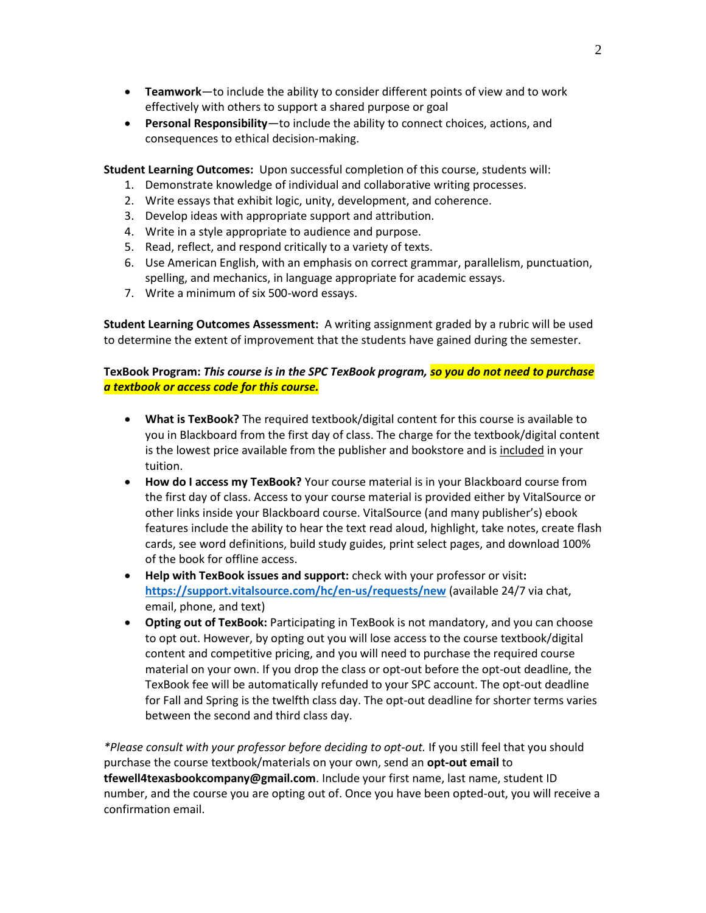- **Teamwork**—to include the ability to consider different points of view and to work effectively with others to support a shared purpose or goal
- **Personal Responsibility**—to include the ability to connect choices, actions, and consequences to ethical decision-making.

**Student Learning Outcomes:** Upon successful completion of this course, students will:

- 1. Demonstrate knowledge of individual and collaborative writing processes.
- 2. Write essays that exhibit logic, unity, development, and coherence.
- 3. Develop ideas with appropriate support and attribution.
- 4. Write in a style appropriate to audience and purpose.
- 5. Read, reflect, and respond critically to a variety of texts.
- 6. Use American English, with an emphasis on correct grammar, parallelism, punctuation, spelling, and mechanics, in language appropriate for academic essays.
- 7. Write a minimum of six 500-word essays.

**Student Learning Outcomes Assessment:** A writing assignment graded by a rubric will be used to determine the extent of improvement that the students have gained during the semester.

### **TexBook Program:** *This course is in the SPC TexBook program, so you do not need to purchase a textbook or access code for this course.*

- **What is TexBook?** The required textbook/digital content for this course is available to you in Blackboard from the first day of class. The charge for the textbook/digital content is the lowest price available from the publisher and bookstore and is included in your tuition.
- **How do I access my TexBook?** Your course material is in your Blackboard course from the first day of class. Access to your course material is provided either by VitalSource or other links inside your Blackboard course. VitalSource (and many publisher's) ebook features include the ability to hear the text read aloud, highlight, take notes, create flash cards, see word definitions, build study guides, print select pages, and download 100% of the book for offline access.
- **Help with TexBook issues and support:** check with your professor or visit**: <https://support.vitalsource.com/hc/en-us/requests/new>** (available 24/7 via chat, email, phone, and text)
- **Opting out of TexBook:** Participating in TexBook is not mandatory, and you can choose to opt out. However, by opting out you will lose access to the course textbook/digital content and competitive pricing, and you will need to purchase the required course material on your own. If you drop the class or opt-out before the opt-out deadline, the TexBook fee will be automatically refunded to your SPC account. The opt-out deadline for Fall and Spring is the twelfth class day. The opt-out deadline for shorter terms varies between the second and third class day.

*\*Please consult with your professor before deciding to opt-out.* If you still feel that you should purchase the course textbook/materials on your own, send an **opt-out email** to **tfewell4texasbookcompany@gmail.com**. Include your first name, last name, student ID number, and the course you are opting out of. Once you have been opted-out, you will receive a confirmation email.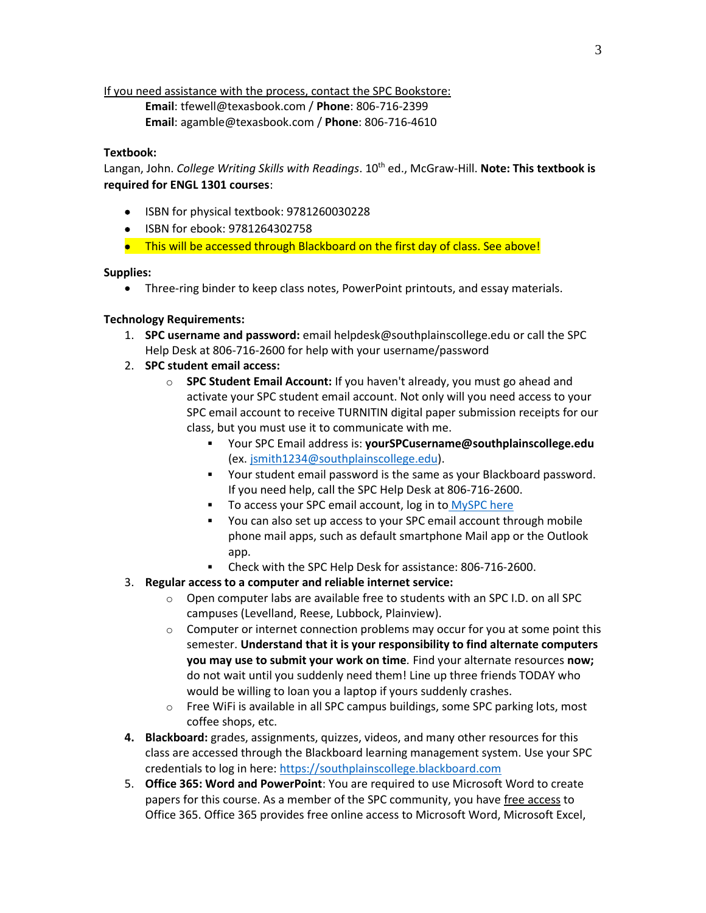If you need assistance with the process, contact the SPC Bookstore:

**Email**: tfewell@texasbook.com / **Phone**: 806-716-2399 **Email**: agamble@texasbook.com / **Phone**: 806-716-4610

### **Textbook:**

Langan, John. *College Writing Skills with Readings*. 10<sup>th</sup> ed., McGraw-Hill. **Note: This textbook is required for ENGL 1301 courses**:

- ISBN for physical textbook: 9781260030228
- ISBN for ebook: 9781264302758
- This will be accessed through Blackboard on the first day of class. See above!

### **Supplies:**

• Three-ring binder to keep class notes, PowerPoint printouts, and essay materials.

## **Technology Requirements:**

- 1. **SPC username and password:** email helpdesk@southplainscollege.edu or call the SPC Help Desk at 806-716-2600 for help with your username/password
- 2. **SPC student email access:**
	- o **SPC Student Email Account:** If you haven't already, you must go ahead and activate your SPC student email account. Not only will you need access to your SPC email account to receive TURNITIN digital paper submission receipts for our class, but you must use it to communicate with me.
		- Your SPC Email address is: **yourSPCusername@southplainscollege.edu** (ex. [jsmith1234@southplainscollege.edu\)](mailto:jsmith1234@southplainscollege.edu).
		- Your student email password is the same as your Blackboard password. If you need help, call the SPC Help Desk at 806-716-2600.
		- To access your SPC email account, log in to [MySPC here](https://fs.southplainscollege.edu/adfs/ls?wa=wsignin1.0&wtrealm=urn%3aportal.southplainscollege.edu%3a443&wctx=https%3a%2f%2fportal.southplainscollege.edu%2f_layouts%2f15%2fAuthenticate.aspx%3fSource%3d%252F&wreply=https%3a%2f%2fportal.southplainscollege.edu%2f_trust%2fdefault.aspx)
		- You can also set up access to your SPC email account through mobile phone mail apps, such as default smartphone Mail app or the Outlook app.
		- Check with the SPC Help Desk for assistance: 806-716-2600.
- 3. **Regular access to a computer and reliable internet service:**
	- o Open computer labs are available free to students with an SPC I.D. on all SPC campuses (Levelland, Reese, Lubbock, Plainview).
	- $\circ$  Computer or internet connection problems may occur for you at some point this semester. **Understand that it is your responsibility to find alternate computers you may use to submit your work on time***.* Find your alternate resources **now;** do not wait until you suddenly need them! Line up three friends TODAY who would be willing to loan you a laptop if yours suddenly crashes.
	- o Free WiFi is available in all SPC campus buildings, some SPC parking lots, most coffee shops, etc.
- **4. Blackboard:** grades, assignments, quizzes, videos, and many other resources for this class are accessed through the Blackboard learning management system. Use your SPC credentials to log in here[: https://southplainscollege.blackboard.com](https://southplainscollege.blackboard.com/)
- 5. **Office 365: Word and PowerPoint**: You are required to use Microsoft Word to create papers for this course. As a member of the SPC community, you have free access to Office 365. Office 365 provides free online access to Microsoft Word, Microsoft Excel,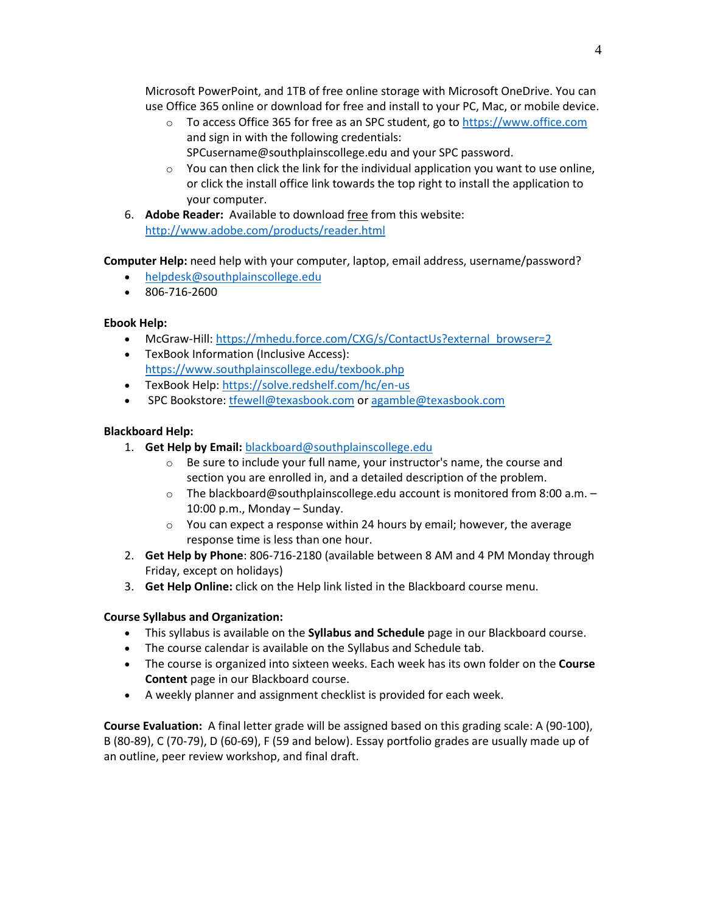Microsoft PowerPoint, and 1TB of free online storage with Microsoft OneDrive. You can use Office 365 online or download for free and install to your PC, Mac, or mobile device.

- o To access Office 365 for free as an SPC student, go to [https://www.office.com](https://www.office.com/) and sign in with the following credentials: SPCusername@southplainscollege.edu and your SPC password.
- $\circ$  You can then click the link for the individual application you want to use online, or click the install office link towards the top right to install the application to your computer.
- 6. **Adobe Reader:** Available to download free from this website: <http://www.adobe.com/products/reader.html>

**Computer Help:** need help with your computer, laptop, email address, username/password?

- [helpdesk@southplainscollege.edu](mailto:helpdesk@southplainscollege.edu)
- 806-716-2600

# **Ebook Help:**

- McGraw-Hill: [https://mhedu.force.com/CXG/s/ContactUs?external\\_browser=2](https://mhedu.force.com/CXG/s/ContactUs?external_browser=2)
- TexBook Information (Inclusive Access): <https://www.southplainscollege.edu/texbook.php>
- TexBook Help[: https://solve.redshelf.com/hc/en-us](https://solve.redshelf.com/hc/en-us)
- SPC Bookstore[: tfewell@texasbook.com](mailto:tfewell@texasbook.com) or [agamble@texasbook.com](mailto:agamble@texasbook.com)

# **Blackboard Help:**

- 1. **Get Help by Email:** [blackboard@southplainscollege.edu](mailto:blackboard@southplainscollege.edu)
	- o Be sure to include your full name, your instructor's name, the course and section you are enrolled in, and a detailed description of the problem.
	- o The blackboard@southplainscollege.edu account is monitored from 8:00 a.m. 10:00 p.m., Monday – Sunday.
	- $\circ$  You can expect a response within 24 hours by email; however, the average response time is less than one hour.
- 2. **Get Help by Phone**: 806-716-2180 (available between 8 AM and 4 PM Monday through Friday, except on holidays)
- 3. **Get Help Online:** click on the Help link listed in the Blackboard course menu.

# **Course Syllabus and Organization:**

- This syllabus is available on the **Syllabus and Schedule** page in our Blackboard course.
- The course calendar is available on the Syllabus and Schedule tab.
- The course is organized into sixteen weeks. Each week has its own folder on the **Course Content** page in our Blackboard course.
- A weekly planner and assignment checklist is provided for each week.

**Course Evaluation:** A final letter grade will be assigned based on this grading scale: A (90-100), B (80-89), C (70-79), D (60-69), F (59 and below). Essay portfolio grades are usually made up of an outline, peer review workshop, and final draft.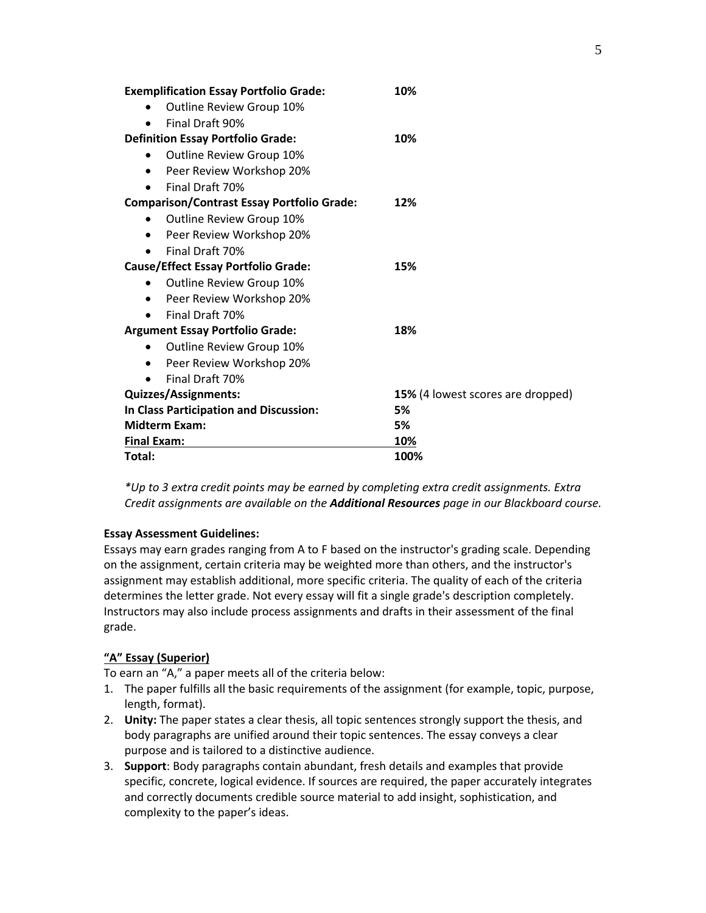| <b>Exemplification Essay Portfolio Grade:</b>     | 10%                                      |
|---------------------------------------------------|------------------------------------------|
| Outline Review Group 10%<br>$\bullet$             |                                          |
| Final Draft 90%                                   |                                          |
| <b>Definition Essay Portfolio Grade:</b>          | 10%                                      |
| Outline Review Group 10%<br>$\bullet$             |                                          |
| Peer Review Workshop 20%                          |                                          |
| Final Draft 70%                                   |                                          |
| <b>Comparison/Contrast Essay Portfolio Grade:</b> | 12%                                      |
| Outline Review Group 10%<br>$\bullet$             |                                          |
| Peer Review Workshop 20%<br>$\bullet$             |                                          |
| Final Draft 70%<br>$\bullet$                      |                                          |
| <b>Cause/Effect Essay Portfolio Grade:</b>        | 15%                                      |
| Outline Review Group 10%<br>$\bullet$             |                                          |
| Peer Review Workshop 20%                          |                                          |
| Final Draft 70%                                   |                                          |
| <b>Argument Essay Portfolio Grade:</b>            | 18%                                      |
| Outline Review Group 10%<br>$\bullet$             |                                          |
| Peer Review Workshop 20%<br>$\bullet$             |                                          |
| Final Draft 70%                                   |                                          |
| <b>Quizzes/Assignments:</b>                       | <b>15%</b> (4 lowest scores are dropped) |
| In Class Participation and Discussion:            | 5%                                       |
| <b>Midterm Exam:</b>                              | 5%                                       |
| <b>Final Exam:</b>                                | 10%                                      |
| Total:                                            | 100%                                     |

*\*Up to 3 extra credit points may be earned by completing extra credit assignments. Extra Credit assignments are available on the Additional Resources page in our Blackboard course.*

### **Essay Assessment Guidelines:**

Essays may earn grades ranging from A to F based on the instructor's grading scale. Depending on the assignment, certain criteria may be weighted more than others, and the instructor's assignment may establish additional, more specific criteria. The quality of each of the criteria determines the letter grade. Not every essay will fit a single grade's description completely. Instructors may also include process assignments and drafts in their assessment of the final grade.

### **"A" Essay (Superior)**

To earn an "A," a paper meets all of the criteria below:

- 1. The paper fulfills all the basic requirements of the assignment (for example, topic, purpose, length, format).
- 2. **Unity:** The paper states a clear thesis, all topic sentences strongly support the thesis, and body paragraphs are unified around their topic sentences. The essay conveys a clear purpose and is tailored to a distinctive audience.
- 3. **Support**: Body paragraphs contain abundant, fresh details and examples that provide specific, concrete, logical evidence. If sources are required, the paper accurately integrates and correctly documents credible source material to add insight, sophistication, and complexity to the paper's ideas.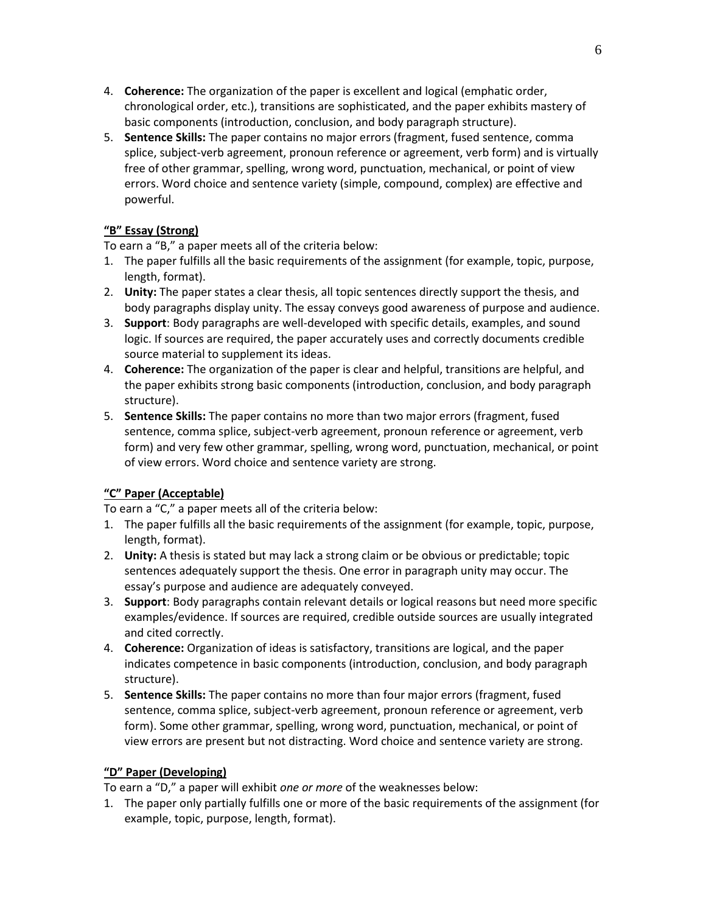- 4. **Coherence:** The organization of the paper is excellent and logical (emphatic order, chronological order, etc.), transitions are sophisticated, and the paper exhibits mastery of basic components (introduction, conclusion, and body paragraph structure).
- 5. **Sentence Skills:** The paper contains no major errors (fragment, fused sentence, comma splice, subject-verb agreement, pronoun reference or agreement, verb form) and is virtually free of other grammar, spelling, wrong word, punctuation, mechanical, or point of view errors. Word choice and sentence variety (simple, compound, complex) are effective and powerful.

# **"B" Essay (Strong)**

To earn a "B," a paper meets all of the criteria below:

- 1. The paper fulfills all the basic requirements of the assignment (for example, topic, purpose, length, format).
- 2. **Unity:** The paper states a clear thesis, all topic sentences directly support the thesis, and body paragraphs display unity. The essay conveys good awareness of purpose and audience.
- 3. **Support**: Body paragraphs are well-developed with specific details, examples, and sound logic. If sources are required, the paper accurately uses and correctly documents credible source material to supplement its ideas.
- 4. **Coherence:** The organization of the paper is clear and helpful, transitions are helpful, and the paper exhibits strong basic components (introduction, conclusion, and body paragraph structure).
- 5. **Sentence Skills:** The paper contains no more than two major errors (fragment, fused sentence, comma splice, subject-verb agreement, pronoun reference or agreement, verb form) and very few other grammar, spelling, wrong word, punctuation, mechanical, or point of view errors. Word choice and sentence variety are strong.

# **"C" Paper (Acceptable)**

To earn a "C," a paper meets all of the criteria below:

- 1. The paper fulfills all the basic requirements of the assignment (for example, topic, purpose, length, format).
- 2. **Unity:** A thesis is stated but may lack a strong claim or be obvious or predictable; topic sentences adequately support the thesis. One error in paragraph unity may occur. The essay's purpose and audience are adequately conveyed.
- 3. **Support**: Body paragraphs contain relevant details or logical reasons but need more specific examples/evidence. If sources are required, credible outside sources are usually integrated and cited correctly.
- 4. **Coherence:** Organization of ideas is satisfactory, transitions are logical, and the paper indicates competence in basic components (introduction, conclusion, and body paragraph structure).
- 5. **Sentence Skills:** The paper contains no more than four major errors (fragment, fused sentence, comma splice, subject-verb agreement, pronoun reference or agreement, verb form). Some other grammar, spelling, wrong word, punctuation, mechanical, or point of view errors are present but not distracting. Word choice and sentence variety are strong.

# **"D" Paper (Developing)**

To earn a "D," a paper will exhibit *one or more* of the weaknesses below:

1. The paper only partially fulfills one or more of the basic requirements of the assignment (for example, topic, purpose, length, format).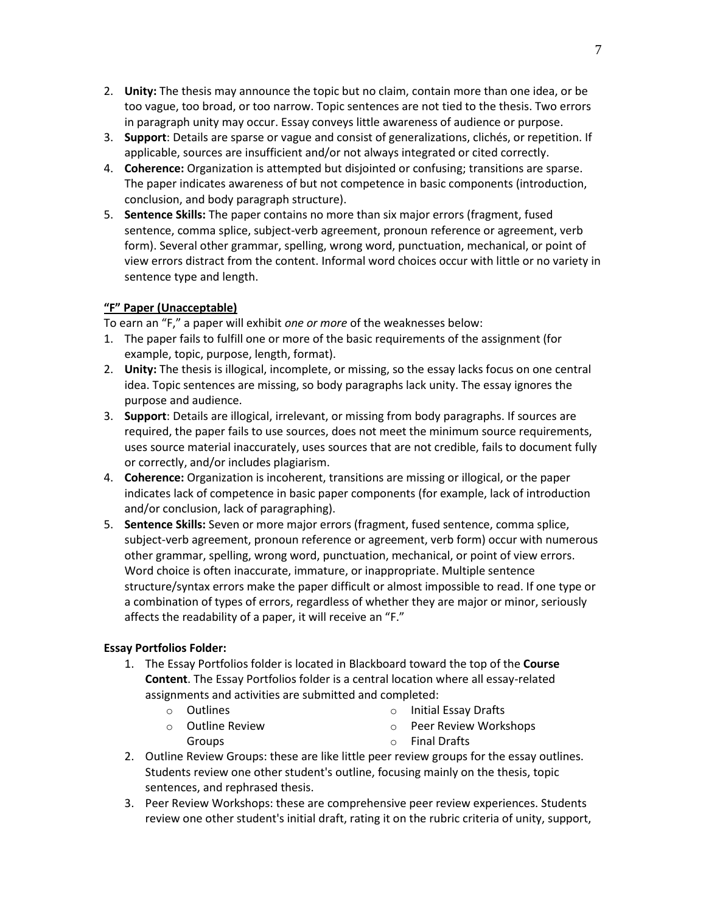- 2. **Unity:** The thesis may announce the topic but no claim, contain more than one idea, or be too vague, too broad, or too narrow. Topic sentences are not tied to the thesis. Two errors in paragraph unity may occur. Essay conveys little awareness of audience or purpose.
- 3. **Support**: Details are sparse or vague and consist of generalizations, clichés, or repetition. If applicable, sources are insufficient and/or not always integrated or cited correctly.
- 4. **Coherence:** Organization is attempted but disjointed or confusing; transitions are sparse. The paper indicates awareness of but not competence in basic components (introduction, conclusion, and body paragraph structure).
- 5. **Sentence Skills:** The paper contains no more than six major errors (fragment, fused sentence, comma splice, subject-verb agreement, pronoun reference or agreement, verb form). Several other grammar, spelling, wrong word, punctuation, mechanical, or point of view errors distract from the content. Informal word choices occur with little or no variety in sentence type and length.

## **"F" Paper (Unacceptable)**

To earn an "F," a paper will exhibit *one or more* of the weaknesses below:

- 1. The paper fails to fulfill one or more of the basic requirements of the assignment (for example, topic, purpose, length, format).
- 2. **Unity:** The thesis is illogical, incomplete, or missing, so the essay lacks focus on one central idea. Topic sentences are missing, so body paragraphs lack unity. The essay ignores the purpose and audience.
- 3. **Support**: Details are illogical, irrelevant, or missing from body paragraphs. If sources are required, the paper fails to use sources, does not meet the minimum source requirements, uses source material inaccurately, uses sources that are not credible, fails to document fully or correctly, and/or includes plagiarism.
- 4. **Coherence:** Organization is incoherent, transitions are missing or illogical, or the paper indicates lack of competence in basic paper components (for example, lack of introduction and/or conclusion, lack of paragraphing).
- 5. **Sentence Skills:** Seven or more major errors (fragment, fused sentence, comma splice, subject-verb agreement, pronoun reference or agreement, verb form) occur with numerous other grammar, spelling, wrong word, punctuation, mechanical, or point of view errors. Word choice is often inaccurate, immature, or inappropriate. Multiple sentence structure/syntax errors make the paper difficult or almost impossible to read. If one type or a combination of types of errors, regardless of whether they are major or minor, seriously affects the readability of a paper, it will receive an "F."

# **Essay Portfolios Folder:**

- 1. The Essay Portfolios folder is located in Blackboard toward the top of the **Course Content**. The Essay Portfolios folder is a central location where all essay-related assignments and activities are submitted and completed:
	- o Outlines

o Initial Essay Drafts

o Outline Review Groups

- o Peer Review Workshops
- o Final Drafts
- 2. Outline Review Groups: these are like little peer review groups for the essay outlines. Students review one other student's outline, focusing mainly on the thesis, topic sentences, and rephrased thesis.
- 3. Peer Review Workshops: these are comprehensive peer review experiences. Students review one other student's initial draft, rating it on the rubric criteria of unity, support,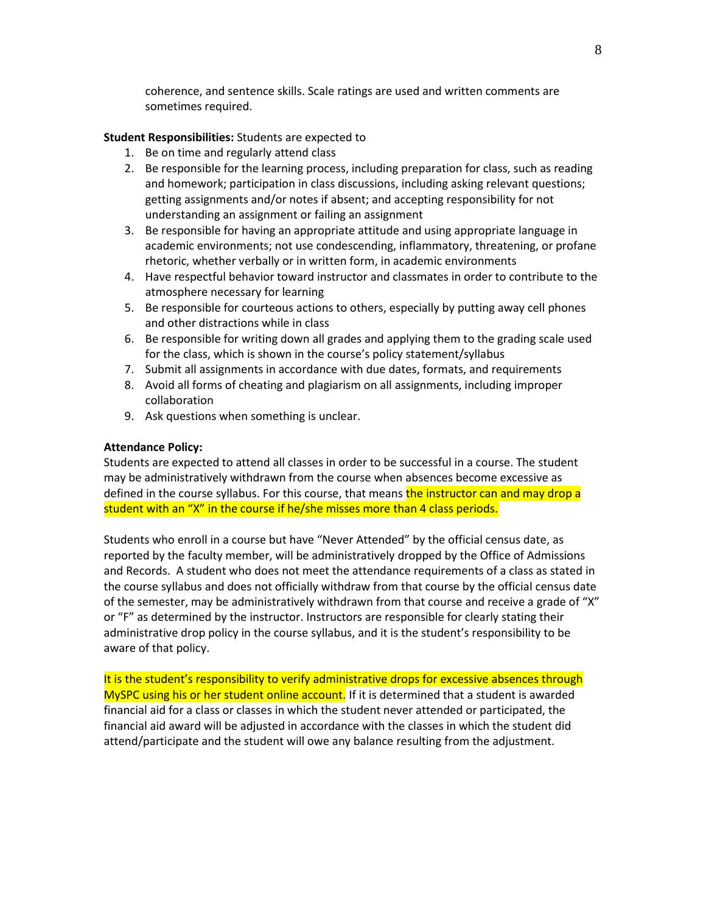coherence, and sentence skills. Scale ratings are used and written comments are sometimes required.

#### **Student Responsibilities:** Students are expected to

- 1. Be on time and regularly attend class
- 2. Be responsible for the learning process, including preparation for class, such as reading and homework; participation in class discussions, including asking relevant questions; getting assignments and/or notes if absent; and accepting responsibility for not understanding an assignment or failing an assignment
- 3. Be responsible for having an appropriate attitude and using appropriate language in academic environments; not use condescending, inflammatory, threatening, or profane rhetoric, whether verbally or in written form, in academic environments
- 4. Have respectful behavior toward instructor and classmates in order to contribute to the atmosphere necessary for learning
- 5. Be responsible for courteous actions to others, especially by putting away cell phones and other distractions while in class
- 6. Be responsible for writing down all grades and applying them to the grading scale used for the class, which is shown in the course's policy statement/syllabus
- 7. Submit all assignments in accordance with due dates, formats, and requirements
- 8. Avoid all forms of cheating and plagiarism on all assignments, including improper collaboration
- 9. Ask questions when something is unclear.

#### **Attendance Policy:**

Students are expected to attend all classes in order to be successful in a course. The student may be administratively withdrawn from the course when absences become excessive as defined in the course syllabus. For this course, that means the instructor can and may drop a student with an "X" in the course if he/she misses more than 4 class periods.

Students who enroll in a course but have "Never Attended" by the official census date, as reported by the faculty member, will be administratively dropped by the Office of Admissions and Records. A student who does not meet the attendance requirements of a class as stated in the course syllabus and does not officially withdraw from that course by the official census date of the semester, may be administratively withdrawn from that course and receive a grade of "X" or "F" as determined by the instructor. Instructors are responsible for clearly stating their administrative drop policy in the course syllabus, and it is the student's responsibility to be aware of that policy.

It is the student's responsibility to verify administrative drops for excessive absences through MySPC using his or her student online account. If it is determined that a student is awarded financial aid for a class or classes in which the student never attended or participated, the financial aid award will be adjusted in accordance with the classes in which the student did attend/participate and the student will owe any balance resulting from the adjustment.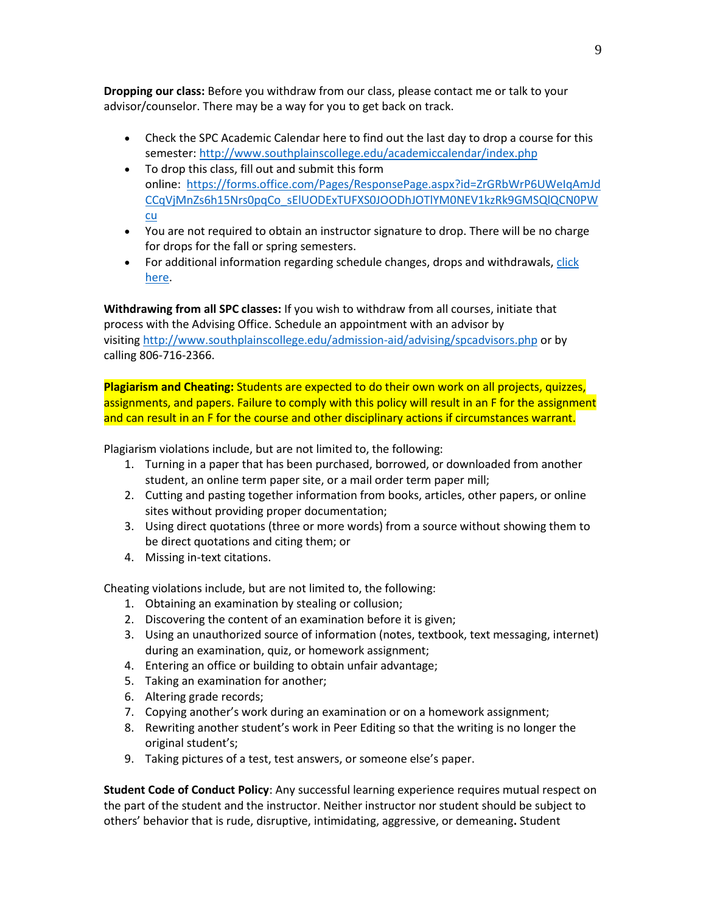**Dropping our class:** Before you withdraw from our class, please contact me or talk to your advisor/counselor. There may be a way for you to get back on track.

- Check the SPC Academic Calendar here to find out the last day to drop a course for this semester:<http://www.southplainscollege.edu/academiccalendar/index.php>
- To drop this class, fill out and submit this form online: [https://forms.office.com/Pages/ResponsePage.aspx?id=ZrGRbWrP6UWeIqAmJd](https://forms.office.com/Pages/ResponsePage.aspx?id=ZrGRbWrP6UWeIqAmJdCCqVjMnZs6h15Nrs0pqCo_sElUODExTUFXS0JOODhJOTlYM0NEV1kzRk9GMSQlQCN0PWcu) [CCqVjMnZs6h15Nrs0pqCo\\_sElUODExTUFXS0JOODhJOTlYM0NEV1kzRk9GMSQlQCN0PW](https://forms.office.com/Pages/ResponsePage.aspx?id=ZrGRbWrP6UWeIqAmJdCCqVjMnZs6h15Nrs0pqCo_sElUODExTUFXS0JOODhJOTlYM0NEV1kzRk9GMSQlQCN0PWcu) [cu](https://forms.office.com/Pages/ResponsePage.aspx?id=ZrGRbWrP6UWeIqAmJdCCqVjMnZs6h15Nrs0pqCo_sElUODExTUFXS0JOODhJOTlYM0NEV1kzRk9GMSQlQCN0PWcu)
- You are not required to obtain an instructor signature to drop. There will be no charge for drops for the fall or spring semesters.
- For additional information regarding schedule changes, drops and withdrawals[, click](http://www.southplainscollege.edu/admission-aid/apply/schedulechanges.php)  [here.](http://www.southplainscollege.edu/admission-aid/apply/schedulechanges.php)

**Withdrawing from all SPC classes:** If you wish to withdraw from all courses, initiate that process with the Advising Office. Schedule an appointment with an advisor by visiting <http://www.southplainscollege.edu/admission-aid/advising/spcadvisors.php> or by calling 806-716-2366.

**Plagiarism and Cheating:** Students are expected to do their own work on all projects, quizzes, assignments, and papers. Failure to comply with this policy will result in an F for the assignment and can result in an F for the course and other disciplinary actions if circumstances warrant.

Plagiarism violations include, but are not limited to, the following:

- 1. Turning in a paper that has been purchased, borrowed, or downloaded from another student, an online term paper site, or a mail order term paper mill;
- 2. Cutting and pasting together information from books, articles, other papers, or online sites without providing proper documentation;
- 3. Using direct quotations (three or more words) from a source without showing them to be direct quotations and citing them; or
- 4. Missing in-text citations.

Cheating violations include, but are not limited to, the following:

- 1. Obtaining an examination by stealing or collusion;
- 2. Discovering the content of an examination before it is given;
- 3. Using an unauthorized source of information (notes, textbook, text messaging, internet) during an examination, quiz, or homework assignment;
- 4. Entering an office or building to obtain unfair advantage;
- 5. Taking an examination for another;
- 6. Altering grade records;
- 7. Copying another's work during an examination or on a homework assignment;
- 8. Rewriting another student's work in Peer Editing so that the writing is no longer the original student's;
- 9. Taking pictures of a test, test answers, or someone else's paper.

**Student Code of Conduct Policy**: Any successful learning experience requires mutual respect on the part of the student and the instructor. Neither instructor nor student should be subject to others' behavior that is rude, disruptive, intimidating, aggressive, or demeaning**.** Student